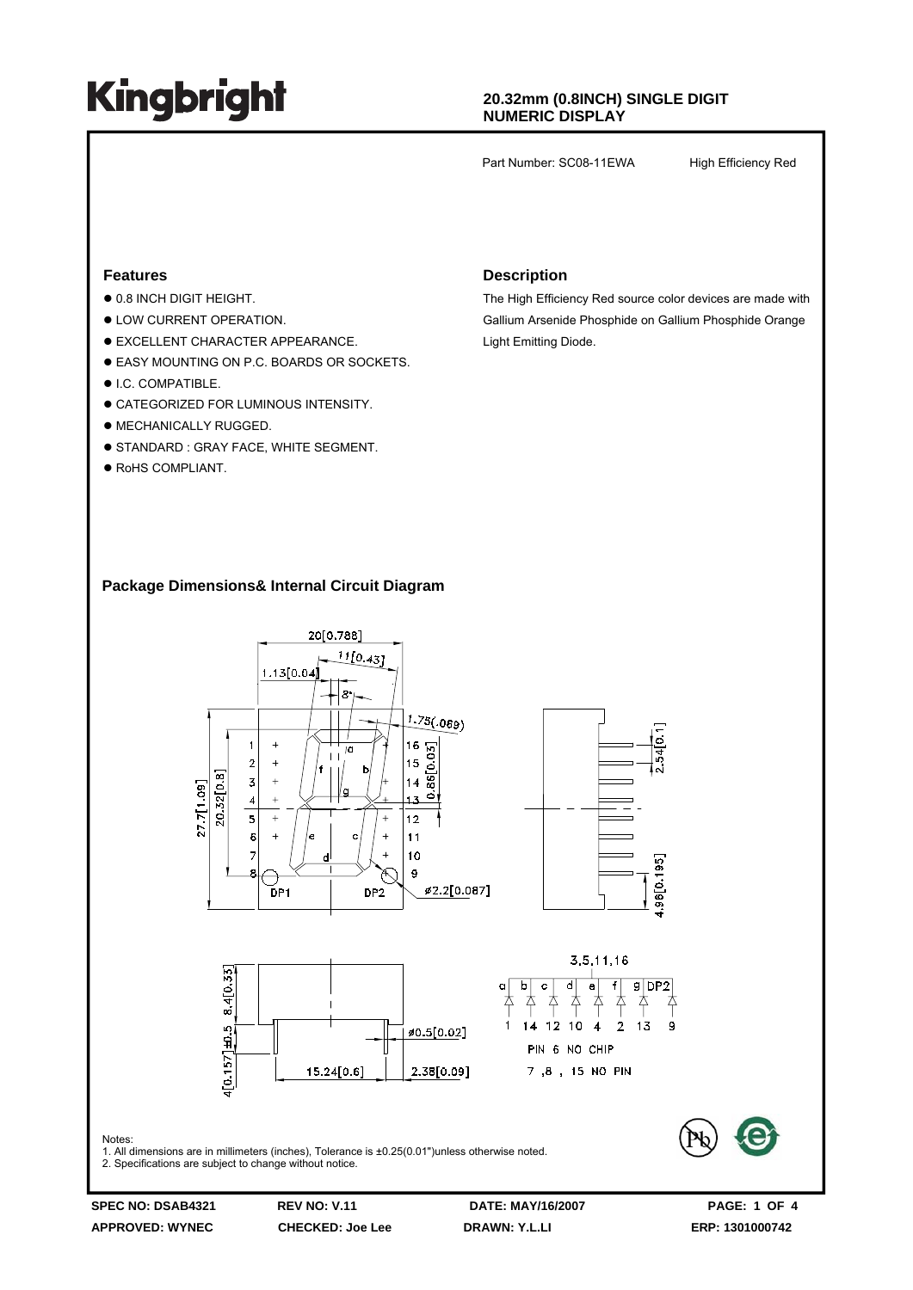## **20.32mm (0.8INCH) SINGLE DIGIT NUMERIC DISPLAY**

Part Number: SC08-11EWA High Efficiency Red

### **Features**

- $\bullet$  0.8 INCH DIGIT HEIGHT.
- $\bullet$  LOW CURRENT OPERATION.
- $\bullet$  EXCELLENT CHARACTER APPEARANCE.
- **EASY MOUNTING ON P.C. BOARDS OR SOCKETS.**
- $\bullet$  I.C. COMPATIBLE.
- **CATEGORIZED FOR LUMINOUS INTENSITY.**
- $\bullet$  MECHANICALLY RUGGED.
- **STANDARD : GRAY FACE, WHITE SEGMENT.**
- $\bullet$  RoHS COMPLIANT.

### **Description**

The High Efficiency Red source color devices are made with Gallium Arsenide Phosphide on Gallium Phosphide Orange Light Emitting Diode.

## **Package Dimensions& Internal Circuit Diagram**



**APPROVED: WYNEC CHECKED: Joe Lee DRAWN: Y.L.LI ERP: 1301000742**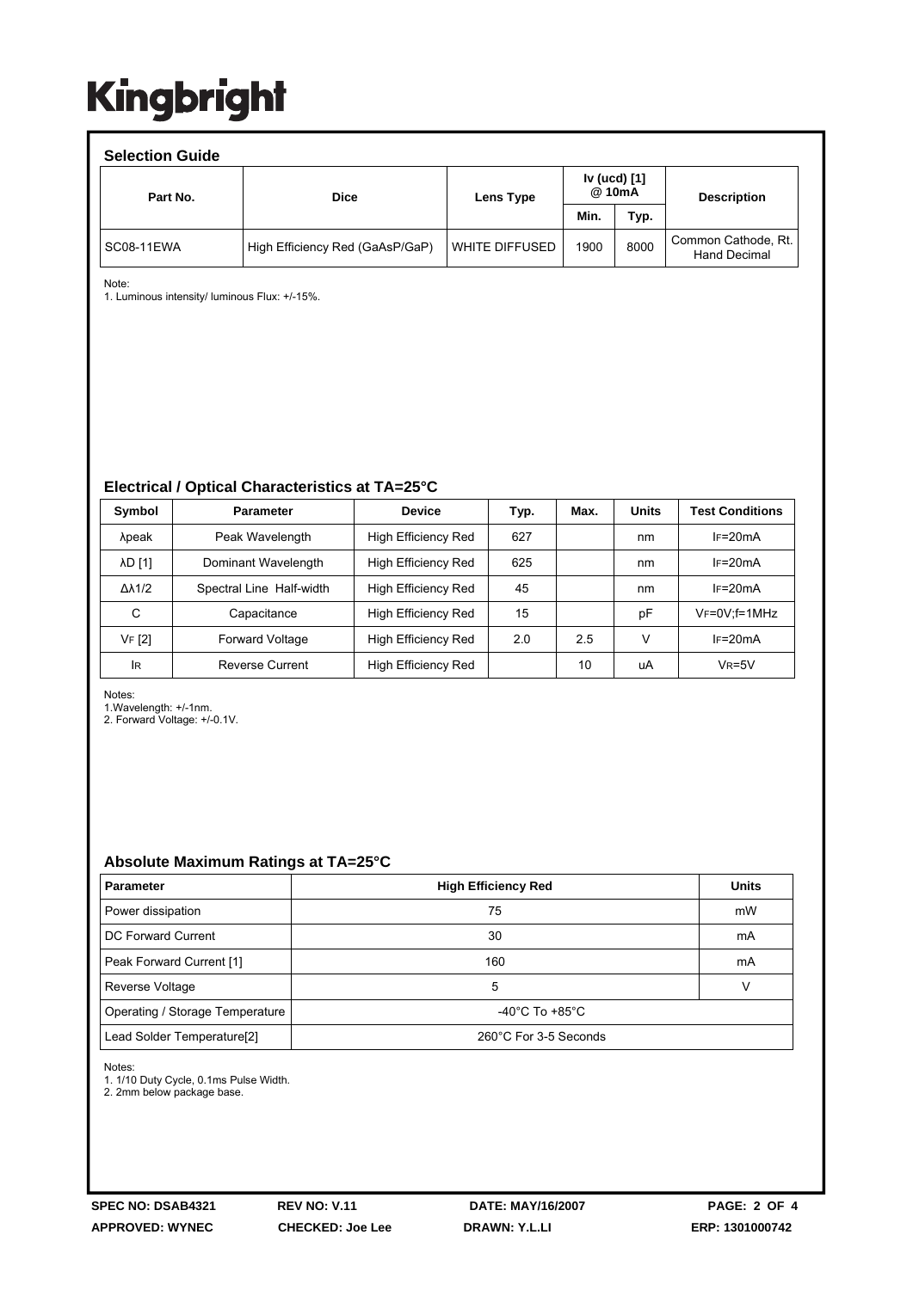#### **Selection Guide**  Part No.  $\qquad \qquad$  Dice  $\qquad \qquad$  Lens Type **Iv (ucd) [1] @ 10mA Min. Typ.**  SC08-11EWA High Efficiency Red (GaAsP/GaP) WHITE DIFFUSED 1900 8000 Common Cathode, Rt. Hand Decimal **Description**

Note:

1. Luminous intensity/ luminous Flux: +/-15%.

## **Electrical / Optical Characteristics at TA=25°C**

| Symbol              | <b>Parameter</b>         | <b>Device</b>              | Typ. | Max. | <b>Units</b> | <b>Test Conditions</b> |
|---------------------|--------------------------|----------------------------|------|------|--------------|------------------------|
| λpeak               | Peak Wavelength          | <b>High Efficiency Red</b> | 627  |      | nm           | $IF=20mA$              |
| <b>AD [1]</b>       | Dominant Wavelength      | High Efficiency Red        | 625  |      | nm           | $IF=20mA$              |
| $\Delta\lambda$ 1/2 | Spectral Line Half-width | High Efficiency Red        | 45   |      | nm           | $I = 20mA$             |
| С                   | Capacitance              | High Efficiency Red        | 15   |      | pF           | $V_F = 0V$ ; f = 1MHz  |
| VF [2]              | <b>Forward Voltage</b>   | High Efficiency Red        | 2.0  | 2.5  | V            | $IF=20mA$              |
| <b>IR</b>           | Reverse Current          | High Efficiency Red        |      | 10   | uA           | $V_R = 5V$             |

Notes:

1.Wavelength: +/-1nm.

2. Forward Voltage: +/-0.1V.

## **Absolute Maximum Ratings at TA=25°C**

| <b>Parameter</b>                       | <b>High Efficiency Red</b>         | <b>Units</b> |
|----------------------------------------|------------------------------------|--------------|
| Power dissipation                      | 75                                 | mW           |
| DC Forward Current                     | 30                                 | mA           |
| Peak Forward Current [1]               | 160                                | mA           |
| Reverse Voltage                        | 5                                  |              |
| Operating / Storage Temperature        | $-40^{\circ}$ C To $+85^{\circ}$ C |              |
| Lead Solder Temperature <sup>[2]</sup> | 260°C For 3-5 Seconds              |              |

Notes:

1. 1/10 Duty Cycle, 0.1ms Pulse Width.

2. 2mm below package base.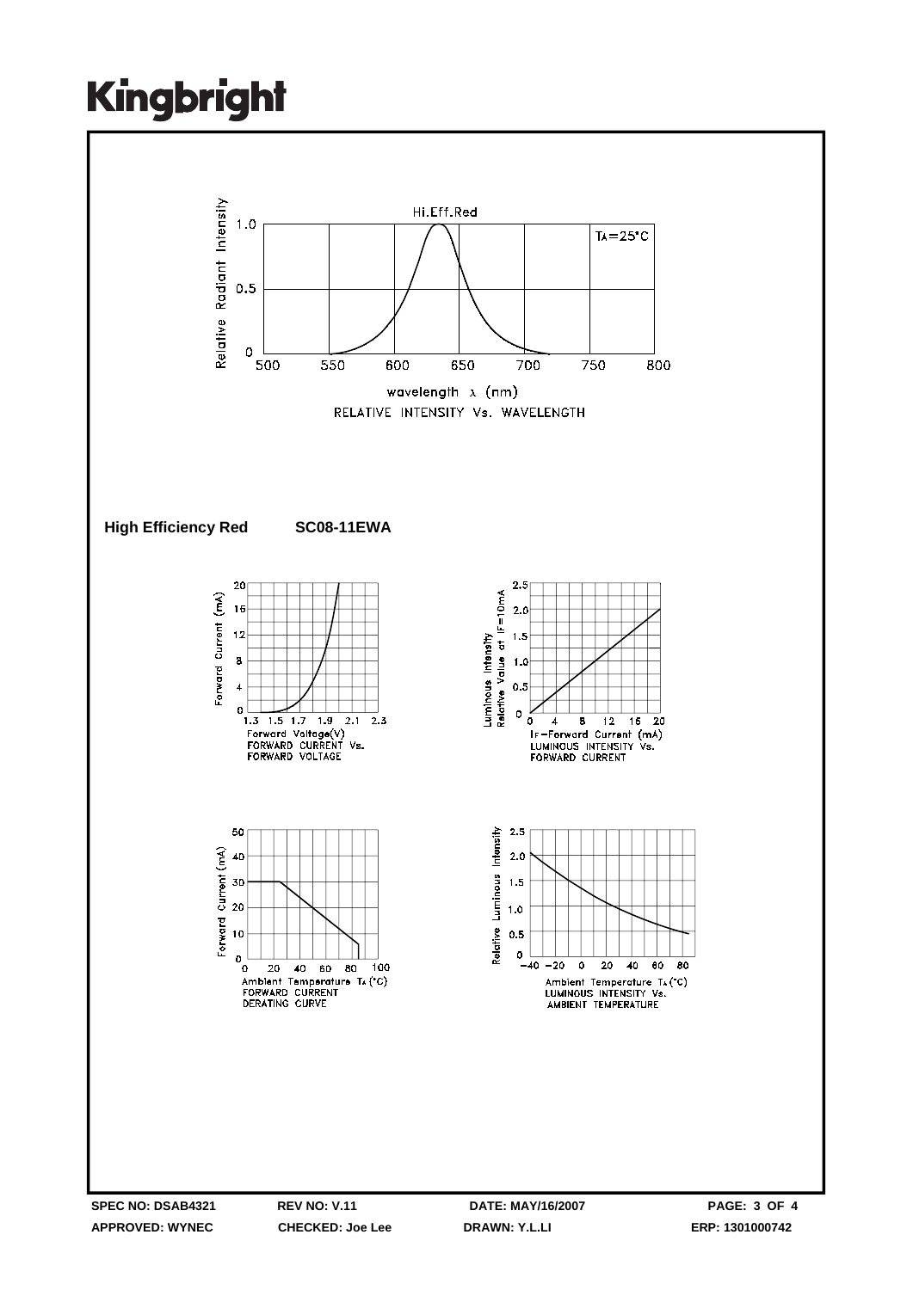